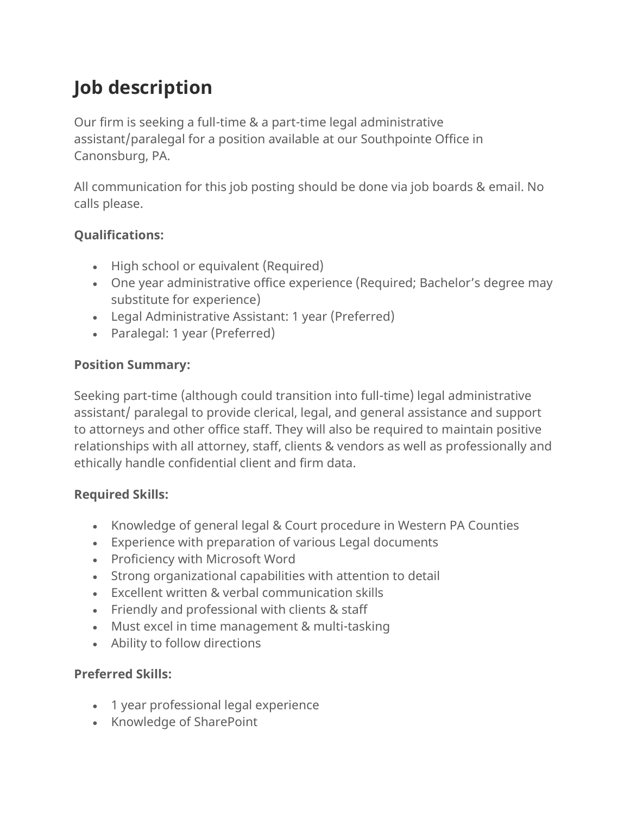# **Job description**

Our firm is seeking a full-time & a part-time legal administrative assistant/paralegal for a position available at our Southpointe Office in Canonsburg, PA.

All communication for this job posting should be done via job boards & email. No calls please.

## **Qualifications:**

- High school or equivalent (Required)
- One year administrative office experience (Required; Bachelor's degree may substitute for experience)
- Legal Administrative Assistant: 1 year (Preferred)
- Paralegal: 1 year (Preferred)

#### **Position Summary:**

Seeking part-time (although could transition into full-time) legal administrative assistant/ paralegal to provide clerical, legal, and general assistance and support to attorneys and other office staff. They will also be required to maintain positive relationships with all attorney, staff, clients & vendors as well as professionally and ethically handle confidential client and firm data.

#### **Required Skills:**

- Knowledge of general legal & Court procedure in Western PA Counties
- Experience with preparation of various Legal documents
- Proficiency with Microsoft Word
- Strong organizational capabilities with attention to detail
- Excellent written & verbal communication skills
- Friendly and professional with clients & staff
- Must excel in time management & multi-tasking
- Ability to follow directions

## **Preferred Skills:**

- 1 year professional legal experience
- Knowledge of SharePoint